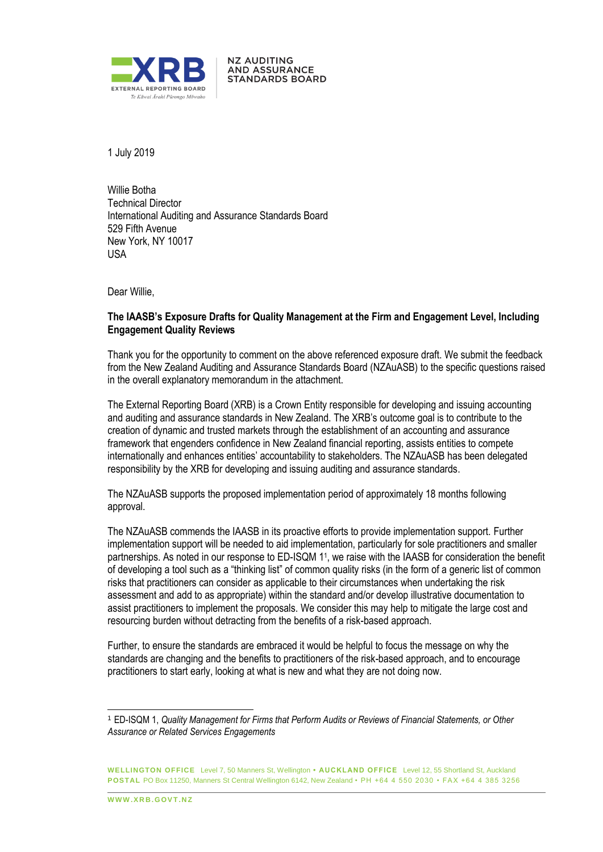

1 July 2019

Willie Botha Technical Director International Auditing and Assurance Standards Board 529 Fifth Avenue New York, NY 10017 USA

**NZ AUDITING AND ASSURANCE STANDARDS BOARD** 

Dear Willie,

## **The IAASB's Exposure Drafts for Quality Management at the Firm and Engagement Level, Including Engagement Quality Reviews**

Thank you for the opportunity to comment on the above referenced exposure draft. We submit the feedback from the New Zealand Auditing and Assurance Standards Board (NZAuASB) to the specific questions raised in the overall explanatory memorandum in the attachment.

The External Reporting Board (XRB) is a Crown Entity responsible for developing and issuing accounting and auditing and assurance standards in New Zealand. The XRB's outcome goal is to contribute to the creation of dynamic and trusted markets through the establishment of an accounting and assurance framework that engenders confidence in New Zealand financial reporting, assists entities to compete internationally and enhances entities' accountability to stakeholders. The NZAuASB has been delegated responsibility by the XRB for developing and issuing auditing and assurance standards.

The NZAuASB supports the proposed implementation period of approximately 18 months following approval.

The NZAuASB commends the IAASB in its proactive efforts to provide implementation support. Further implementation support will be needed to aid implementation, particularly for sole practitioners and smaller partnerships. As noted in our response to ED-ISQM 1<sup>1</sup>, we raise with the IAASB for consideration the benefit of developing a tool such as a "thinking list" of common quality risks (in the form of a generic list of common risks that practitioners can consider as applicable to their circumstances when undertaking the risk assessment and add to as appropriate) within the standard and/or develop illustrative documentation to assist practitioners to implement the proposals. We consider this may help to mitigate the large cost and resourcing burden without detracting from the benefits of a risk-based approach.

Further, to ensure the standards are embraced it would be helpful to focus the message on why the standards are changing and the benefits to practitioners of the risk-based approach, and to encourage practitioners to start early, looking at what is new and what they are not doing now.

**WWW XRR GOVT NZ** 

l

<sup>1</sup> ED-ISQM 1, *Quality Management for Firms that Perform Audits or Reviews of Financial Statements, or Other Assurance or Related Services Engagements*

**WELLINGTON OFFICE** Level 7, 50 Manners St, Wellington **• AUCKLAND OFFICE** Level 12, 55 Shortland St, Auckland **POSTAL** PO Box 11250, Manners St Central Wellington 6142, New Zealand • PH +64 4 550 2030 • FAX +64 4 385 3256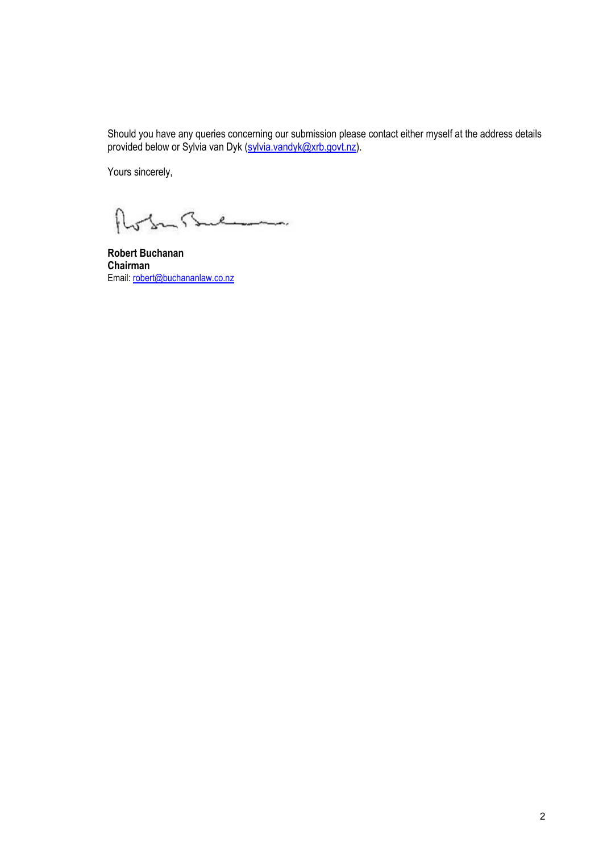Should you have any queries concerning our submission please contact either myself at the address details provided below or Sylvia van Dyk (sylvia.vandyk@xrb.govt.nz).

Yours sincerely,

Robertsul

**Robert Buchanan Chairman** Email: robert@buchananlaw.co.nz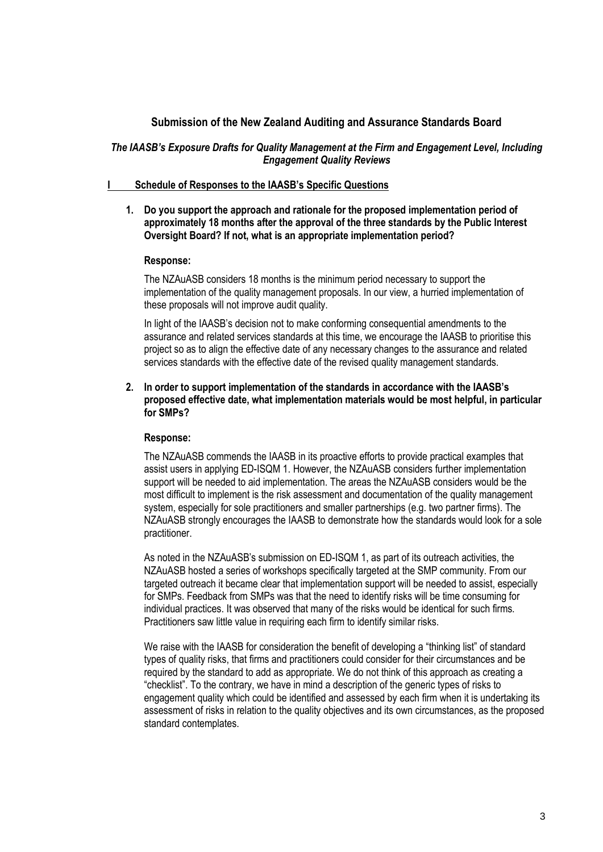# **Submission of the New Zealand Auditing and Assurance Standards Board**

# *The IAASB's Exposure Drafts for Quality Management at the Firm and Engagement Level, Including Engagement Quality Reviews*

#### **I Schedule of Responses to the IAASB's Specific Questions**

**1. Do you support the approach and rationale for the proposed implementation period of approximately 18 months after the approval of the three standards by the Public Interest Oversight Board? If not, what is an appropriate implementation period?**

## **Response:**

The NZAuASB considers 18 months is the minimum period necessary to support the implementation of the quality management proposals. In our view, a hurried implementation of these proposals will not improve audit quality.

In light of the IAASB's decision not to make conforming consequential amendments to the assurance and related services standards at this time, we encourage the IAASB to prioritise this project so as to align the effective date of any necessary changes to the assurance and related services standards with the effective date of the revised quality management standards.

#### **2. In order to support implementation of the standards in accordance with the IAASB's proposed effective date, what implementation materials would be most helpful, in particular for SMPs?**

# **Response:**

The NZAuASB commends the IAASB in its proactive efforts to provide practical examples that assist users in applying ED-ISQM 1. However, the NZAuASB considers further implementation support will be needed to aid implementation. The areas the NZAuASB considers would be the most difficult to implement is the risk assessment and documentation of the quality management system, especially for sole practitioners and smaller partnerships (e.g. two partner firms). The NZAuASB strongly encourages the IAASB to demonstrate how the standards would look for a sole practitioner.

As noted in the NZAuASB's submission on ED-ISQM 1, as part of its outreach activities, the NZAuASB hosted a series of workshops specifically targeted at the SMP community. From our targeted outreach it became clear that implementation support will be needed to assist, especially for SMPs. Feedback from SMPs was that the need to identify risks will be time consuming for individual practices. It was observed that many of the risks would be identical for such firms. Practitioners saw little value in requiring each firm to identify similar risks.

We raise with the IAASB for consideration the benefit of developing a "thinking list" of standard types of quality risks, that firms and practitioners could consider for their circumstances and be required by the standard to add as appropriate. We do not think of this approach as creating a "checklist". To the contrary, we have in mind a description of the generic types of risks to engagement quality which could be identified and assessed by each firm when it is undertaking its assessment of risks in relation to the quality objectives and its own circumstances, as the proposed standard contemplates.